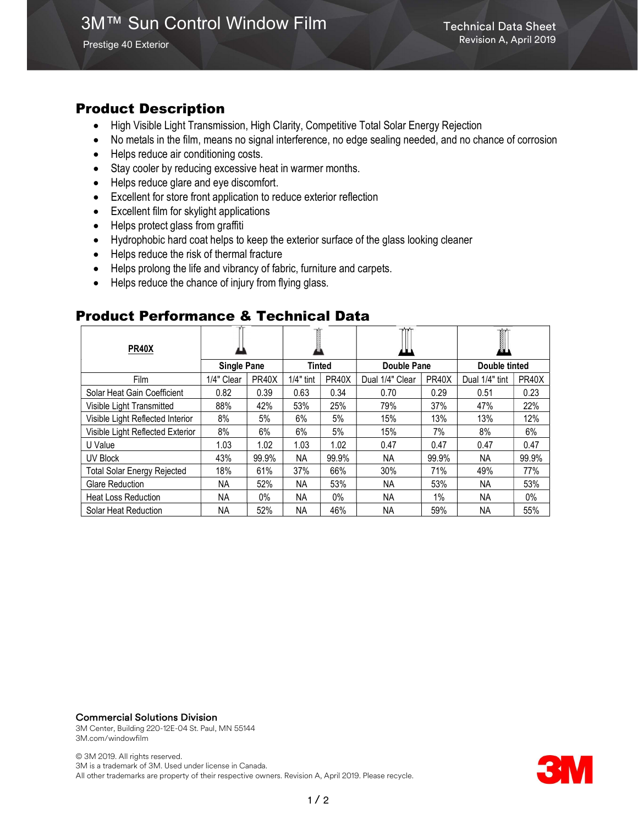### Product Description

- High Visible Light Transmission, High Clarity, Competitive Total Solar Energy Rejection
- No metals in the film, means no signal interference, no edge sealing needed, and no chance of corrosion
- Helps reduce air conditioning costs.
- Stay cooler by reducing excessive heat in warmer months.
- Helps reduce glare and eye discomfort.
- Excellent for store front application to reduce exterior reflection
- Excellent film for skylight applications
- Helps protect glass from graffiti
- Hydrophobic hard coat helps to keep the exterior surface of the glass looking cleaner
- Helps reduce the risk of thermal fracture
- Helps prolong the life and vibrancy of fabric, furniture and carpets.
- Helps reduce the chance of injury from flying glass.

### Product Performance & Technical Data

| <b>PR40X</b>                       |                    |       |               |                    |                    |                    | Ĩ<br>ØЦ        |                    |
|------------------------------------|--------------------|-------|---------------|--------------------|--------------------|--------------------|----------------|--------------------|
|                                    | <b>Single Pane</b> |       | <b>Tinted</b> |                    | <b>Double Pane</b> |                    | Double tinted  |                    |
| Film                               | 1/4" Clear         | PR40X | $1/4"$ tint   | PR <sub>40</sub> X | Dual 1/4" Clear    | PR <sub>40</sub> X | Dual 1/4" tint | PR <sub>40</sub> X |
| Solar Heat Gain Coefficient        | 0.82               | 0.39  | 0.63          | 0.34               | 0.70               | 0.29               | 0.51           | 0.23               |
| Visible Light Transmitted          | 88%                | 42%   | 53%           | 25%                | 79%                | 37%                | 47%            | 22%                |
| Visible Light Reflected Interior   | 8%                 | 5%    | 6%            | 5%                 | 15%                | 13%                | 13%            | 12%                |
| Visible Light Reflected Exterior   | 8%                 | 6%    | 6%            | 5%                 | 15%                | 7%                 | 8%             | 6%                 |
| U Value                            | 1.03               | 1.02  | 1.03          | 1.02               | 0.47               | 0.47               | 0.47           | 0.47               |
| UV Block                           | 43%                | 99.9% | ΝA            | 99.9%              | NA.                | 99.9%              | ΝA             | 99.9%              |
| <b>Total Solar Energy Rejected</b> | 18%                | 61%   | 37%           | 66%                | 30%                | 71%                | 49%            | 77%                |
| <b>Glare Reduction</b>             | ΝA                 | 52%   | ΝA            | 53%                | NA.                | 53%                | NА             | 53%                |
| <b>Heat Loss Reduction</b>         | <b>NA</b>          | $0\%$ | NА            | $0\%$              | NA.                | $1\%$              | ΝA             | $0\%$              |
| Solar Heat Reduction               | <b>NA</b>          | 52%   | NA            | 46%                | <b>NA</b>          | 59%                | <b>NA</b>      | 55%                |

#### Commercial Solutions Division

3M Center, Building 220-12E-04 St. Paul, MN 55144 3M.com/windowfilm

© 3M 2019. All rights reserved. 3M is a trademark of 3M. Used under license in Canada. All other trademarks are property of their respective owners. Revision A, April 2019. Please recycle.